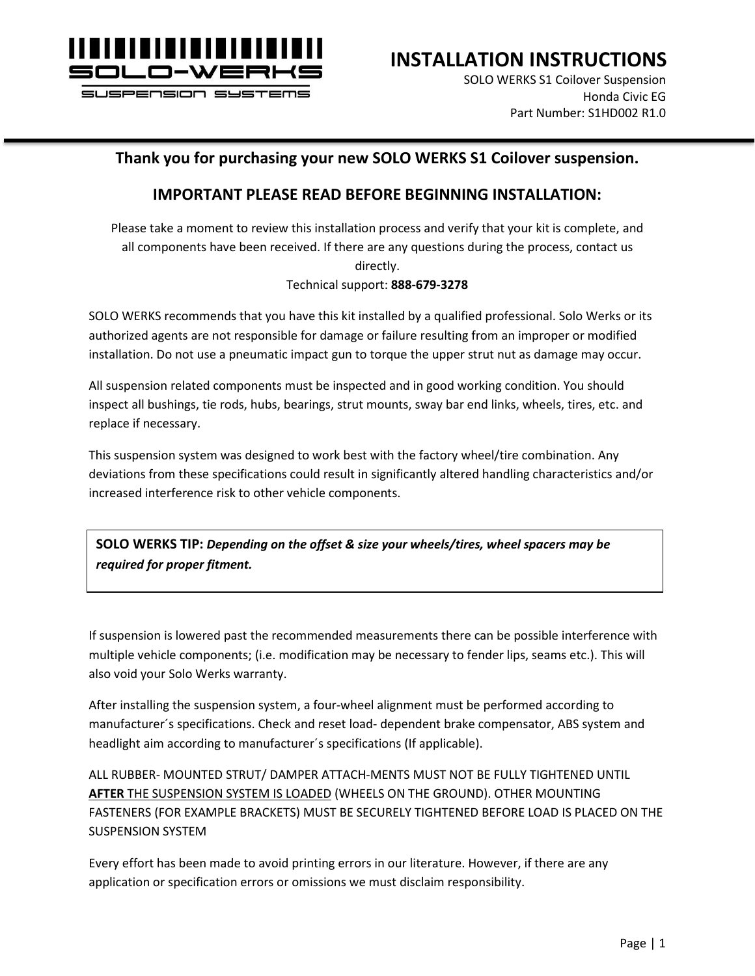

SOLO WERKS S1 Coilover Suspension Honda Civic EG Part Number: S1HD002 R1.0

#### **Thank you for purchasing your new SOLO WERKS S1 Coilover suspension.**

#### **IMPORTANT PLEASE READ BEFORE BEGINNING INSTALLATION:**

Please take a moment to review this installation process and verify that your kit is complete, and all components have been received. If there are any questions during the process, contact us directly. Technical support: **888-679-3278**

SOLO WERKS recommends that you have this kit installed by a qualified professional. Solo Werks or its authorized agents are not responsible for damage or failure resulting from an improper or modified installation. Do not use a pneumatic impact gun to torque the upper strut nut as damage may occur.

All suspension related components must be inspected and in good working condition. You should inspect all bushings, tie rods, hubs, bearings, strut mounts, sway bar end links, wheels, tires, etc. and replace if necessary.

This suspension system was designed to work best with the factory wheel/tire combination. Any deviations from these specifications could result in significantly altered handling characteristics and/or increased interference risk to other vehicle components.

**SOLO WERKS TIP:** *Depending on the offset & size your wheels/tires, wheel spacers may be required for proper fitment.*

If suspension is lowered past the recommended measurements there can be possible interference with multiple vehicle components; (i.e. modification may be necessary to fender lips, seams etc.). This will also void your Solo Werks warranty.

After installing the suspension system, a four-wheel alignment must be performed according to manufacturer´s specifications. Check and reset load- dependent brake compensator, ABS system and headlight aim according to manufacturer´s specifications (If applicable).

ALL RUBBER- MOUNTED STRUT/ DAMPER ATTACH-MENTS MUST NOT BE FULLY TIGHTENED UNTIL **AFTER** THE SUSPENSION SYSTEM IS LOADED (WHEELS ON THE GROUND). OTHER MOUNTING FASTENERS (FOR EXAMPLE BRACKETS) MUST BE SECURELY TIGHTENED BEFORE LOAD IS PLACED ON THE SUSPENSION SYSTEM

Every effort has been made to avoid printing errors in our literature. However, if there are any application or specification errors or omissions we must disclaim responsibility.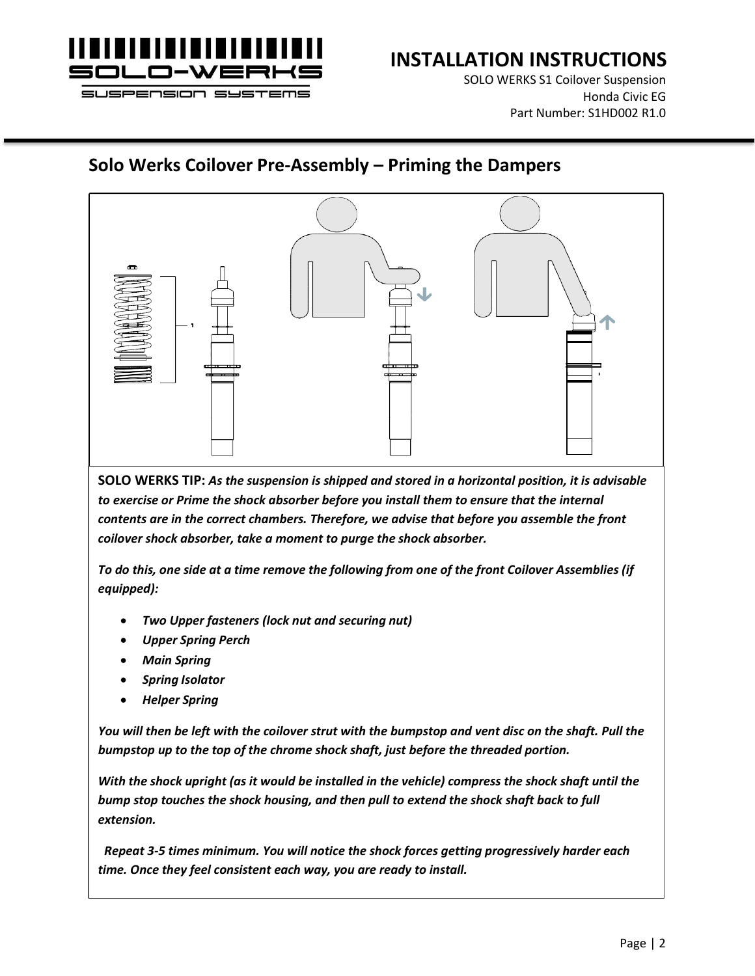

SOLO WERKS S1 Coilover Suspension Honda Civic EG Part Number: S1HD002 R1.0

#### **Solo Werks Coilover Pre-Assembly – Priming the Dampers**



**SOLO WERKS TIP:** *As the suspension is shipped and stored in a horizontal position, it is advisable to exercise or Prime the shock absorber before you install them to ensure that the internal contents are in the correct chambers. Therefore, we advise that before you assemble the front coilover shock absorber, take a moment to purge the shock absorber.*

*To do this, one side at a time remove the following from one of the front Coilover Assemblies (if equipped):*

- *Two Upper fasteners (lock nut and securing nut)*
- *Upper Spring Perch*
- *Main Spring*
- *Spring Isolator*
- *Helper Spring*

*You will then be left with the coilover strut with the bumpstop and vent disc on the shaft. Pull the bumpstop up to the top of the chrome shock shaft, just before the threaded portion.*

*With the shock upright (as it would be installed in the vehicle) compress the shock shaft until the bump stop touches the shock housing, and then pull to extend the shock shaft back to full extension.*

*Repeat 3-5 times minimum. You will notice the shock forces getting progressively harder each time. Once they feel consistent each way, you are ready to install.*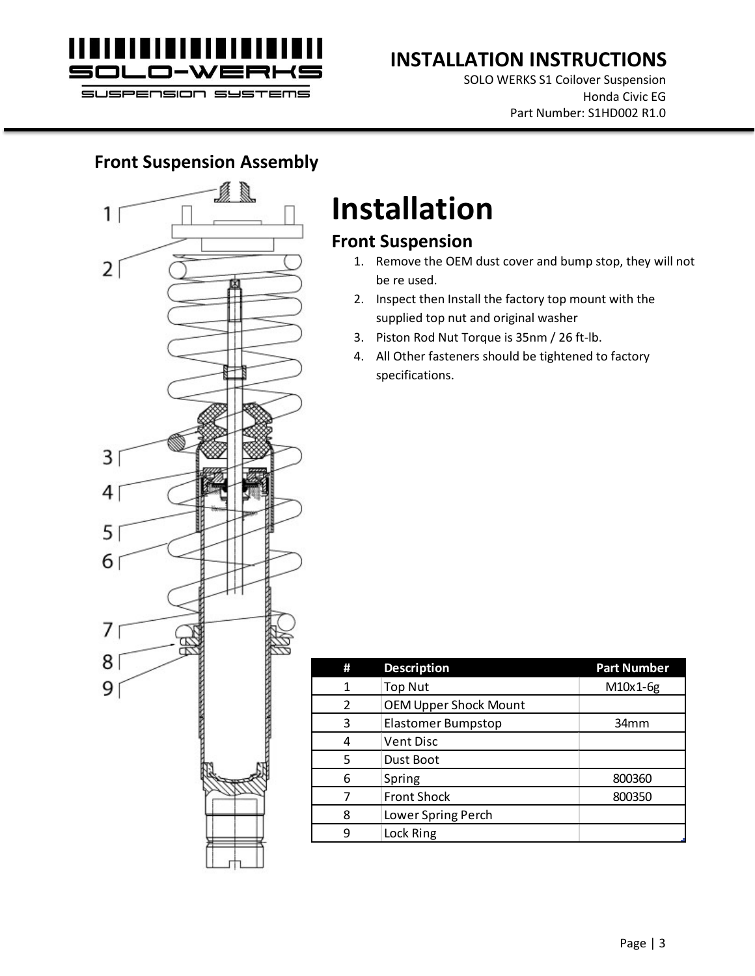

SOLO WERKS S1 Coilover Suspension Honda Civic EG Part Number: S1HD002 R1.0

#### **Front Suspension Assembly**



# **Installation**

#### **Front Suspension**

- 1. Remove the OEM dust cover and bump stop, they will not be re used.
- 2. Inspect then Install the factory top mount with the supplied top nut and original washer
- 3. Piston Rod Nut Torque is 35nm / 26 ft-lb.
- 4. All Other fasteners should be tightened to factory specifications.

| # | <b>Description</b>           | <b>Part Number</b> |
|---|------------------------------|--------------------|
| 1 | <b>Top Nut</b>               | M10x1-6g           |
| 2 | <b>OEM Upper Shock Mount</b> |                    |
| 3 | Elastomer Bumpstop           | 34 <sub>mm</sub>   |
| 4 | <b>Vent Disc</b>             |                    |
| 5 | Dust Boot                    |                    |
| 6 | Spring                       | 800360             |
|   | <b>Front Shock</b>           | 800350             |
| 8 | Lower Spring Perch           |                    |
| 9 | Lock Ring                    |                    |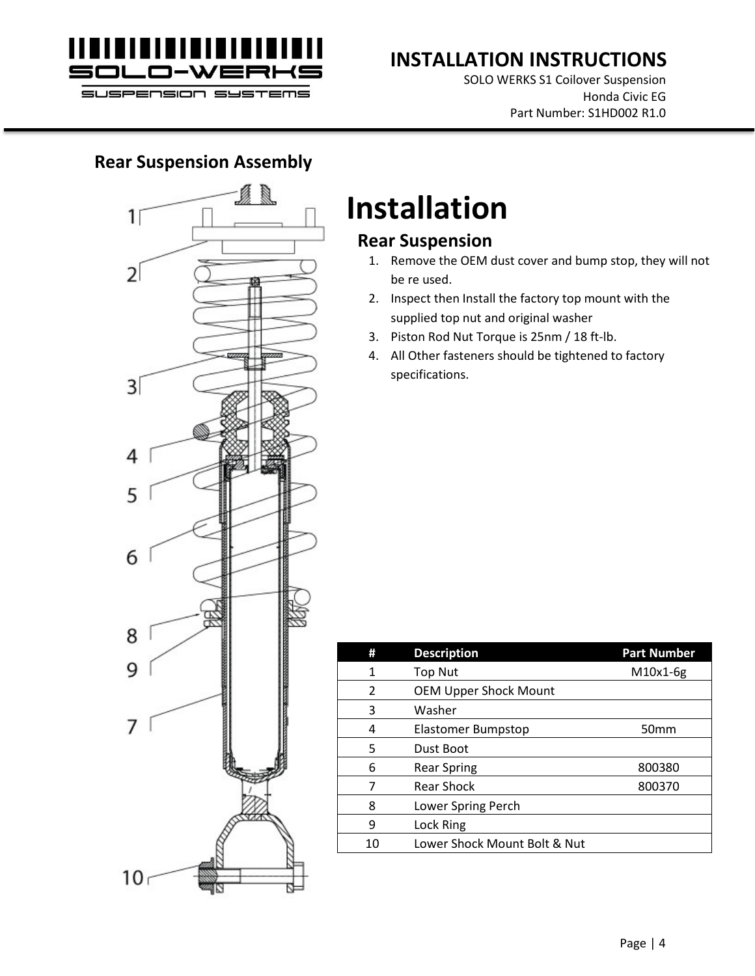

SOLO WERKS S1 Coilover Suspension Honda Civic EG Part Number: S1HD002 R1.0

#### **Rear Suspension Assembly**



## **Installation**

#### **Rear Suspension**

- 1. Remove the OEM dust cover and bump stop, they will not be re used.
- 2. Inspect then Install the factory top mount with the supplied top nut and original washer
- 3. Piston Rod Nut Torque is 25nm / 18 ft-lb.
- 4. All Other fasteners should be tightened to factory specifications.

| #             | <b>Description</b>           | <b>Part Number</b> |
|---------------|------------------------------|--------------------|
| 1             | <b>Top Nut</b>               | M10x1-6g           |
| $\mathcal{P}$ | <b>OEM Upper Shock Mount</b> |                    |
| 3             | Washer                       |                    |
| 4             | Elastomer Bumpstop           | 50 <sub>mm</sub>   |
| 5             | Dust Boot                    |                    |
| 6             | <b>Rear Spring</b>           | 800380             |
| 7             | <b>Rear Shock</b>            | 800370             |
| 8             | Lower Spring Perch           |                    |
| 9             | Lock Ring                    |                    |
| 10            | Lower Shock Mount Bolt & Nut |                    |
|               |                              |                    |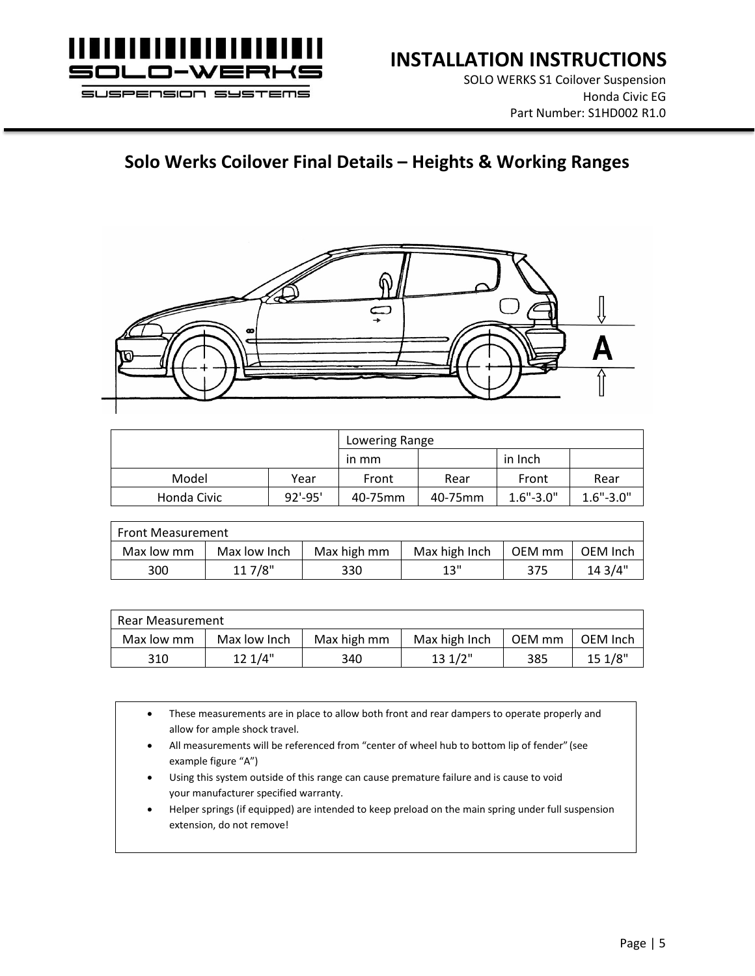

SOLO WERKS S1 Coilover Suspension Honda Civic EG Part Number: S1HD002 R1.0

### **Solo Werks Coilover Final Details – Heights & Working Ranges**



|             |             | Lowering Range |         |               |               |  |
|-------------|-------------|----------------|---------|---------------|---------------|--|
|             |             | in mm          |         | in Inch       |               |  |
| Model       | Year        | Front          | Rear    | Front         | Rear          |  |
| Honda Civic | $92' - 95'$ | 40-75mm        | 40-75mm | $1.6" - 3.0"$ | $1.6" - 3.0"$ |  |

| <b>Front Measurement</b> |              |             |               |        |          |  |  |
|--------------------------|--------------|-------------|---------------|--------|----------|--|--|
| Max low mm               | Max low Inch | Max high mm | Max high Inch | OEM mm | OEM Inch |  |  |
| 300                      | 11 7/8"      | 330         | 12"           | 375    | 14.3/4"  |  |  |

| Rear Measurement |              |             |               |        |          |  |  |
|------------------|--------------|-------------|---------------|--------|----------|--|--|
| Max low mm       | Max low Inch | Max high mm | Max high Inch | OEM mm | OEM Inch |  |  |
| 310              | 12 1/4"      | 340         | 131/2"        | 385    | 151/8"   |  |  |

• These measurements are in place to allow both front and rear dampers to operate properly and allow for ample shock travel. • All measurements will be referenced from "center of wheel hub to bottom lip of fender" (see example figure "A") Using this system outside of this range can cause premature failure and is cause to void your manufacturer specified warranty. • Helper springs (if equipped) are intended to keep preload on the main spring under full suspension extension, do not remove!